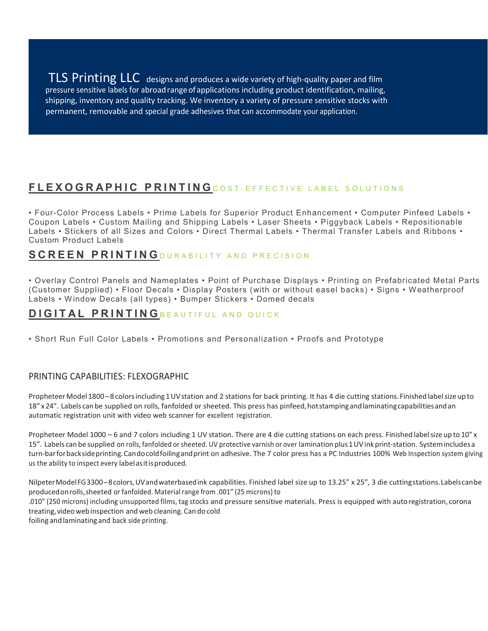TLS Printing LLC designs and produces a wide variety of high-quality paper and film pressure sensitive labels for abroad range of applications including product identification, mailing,<br>shipping, inventory and quality tracking. We inventory a variety of pressure sensitive stocks with permanent, removable and special grade adhesives that can accommodate your application.

# **FLEXOGRAPHIC PRINTING**COST-EFFECTIVE LABEL SOLUTIONS

• Four-Color Process Labels • Prime Labels for Superior Product Enhancement • Computer Pinfeed Labels • Coupon Labels • Custom Mailing and Shipping Labels • Laser Sheets • Piggyback Labels • Repositionable Labels • Stickers of all Sizes and Colors • Direct Thermal Labels • Thermal Transfer Labels and Ribbons • Custom Product Labels

### SCREEN PRINTING DURABILITY AND PRECISION

• Overlay Control Panels and Nameplates • Point of Purchase Displays • Printing on Prefabricated Metal Parts (Customer Supplied) • Floor Decals • Display Posters (with or without easel backs) • Signs • Weatherproof Labels • Window Decals (all types) • Bumper Stickers • Domed decals

## **DIGITAL PRINTINGBEAUTIFUL AND QUICK**

• Short Run Full Color Labels • Promotions and Personalization • Proofs and Prototype

#### PRINTING CAPABILITIES: FLEXOGRAPHIC

Propheteer Model 1800 – 8 colors including 1 UV station and 2 stations for back printing. It has 4 die cutting stations. Finished label size up to 18" x 24". Labels can be supplied on rolls, fanfolded or sheeted. This press has pinfeed, hot stamping and laminating capabilities and an automatic registration unit with video web scanner for excellent registration.

Propheteer Model 1000 – 6 and 7 colors including 1 UV station. There are 4 die cutting stations on each press. Finished label size up to 10" x 15". Labels can be supplied on rolls, fanfolded or sheeted. UV protective varnish or over lamination plus 1 UV ink print-station. System includes a turn-bar for back side printing. Can do cold foiling and print on adhesive. The 7 color press has a PC Industries 100% Web Inspection system giving us the ability to inspect every label as it is produced.

Nilpeter Model FG 3300 – 8 colors, UV and waterbased ink capabilities. Finished label size up to 13.25" x 25", 3 die cutting stations. Labels can be produced on rolls, sheeted or fanfolded. Material range from .001" (25 microns) to .010" (250 microns) including unsupported films, tag stocks and pressure sensitive materials. Press is equipped with auto registration, corona treating, video web inspection and web cleaning. Can do cold foiling and laminating and back side printing.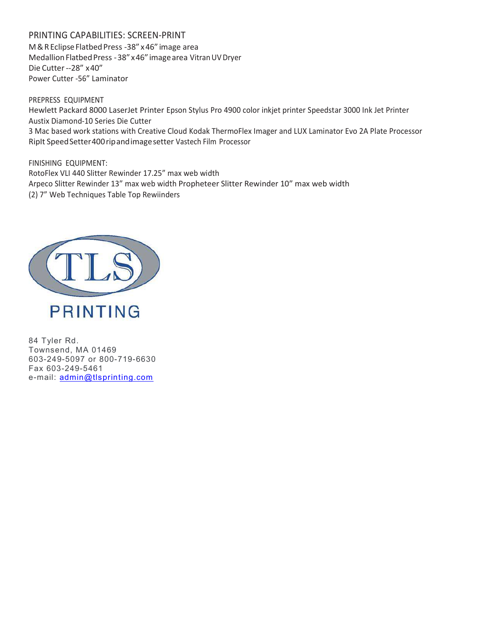#### PRINTING CAPABILITIES: SCREEN-PRINT

M & R Eclipse Flatbed Press -38" x 46" image area Medallion Flatbed Press - 38" x 46" image area Vitran UV Dryer Die Cutter --28" x 40" Power Cutter -56" Laminator

PREPRESS EQUIPMENT Hewlett Packard 8000 LaserJet Printer Epson Stylus Pro 4900 color inkjet printer Speedstar 3000 Ink Jet Printer Austix Diamond-10 Series Die Cutter 3 Mac based work stations with Creative Cloud Kodak ThermoFlex Imager and LUX Laminator Evo 2A Plate Processor RipIt Speed Setter 400 rip and image setter Vastech Film Processor

FINISHING EQUIPMENT: RotoFlex VLI 440 Slitter Rewinder 17.25" max web width Arpeco Slitter Rewinder 13" max web width Propheteer Slitter Rewinder 10" max web width (2) 7" Web Techniques Table Top Rewiinders



84 Tyler Rd. Townsend, MA 01469 603-249-5097 or 800-719-6630 Fax 603-249-5461 e-mail: admin@tlsprinting.com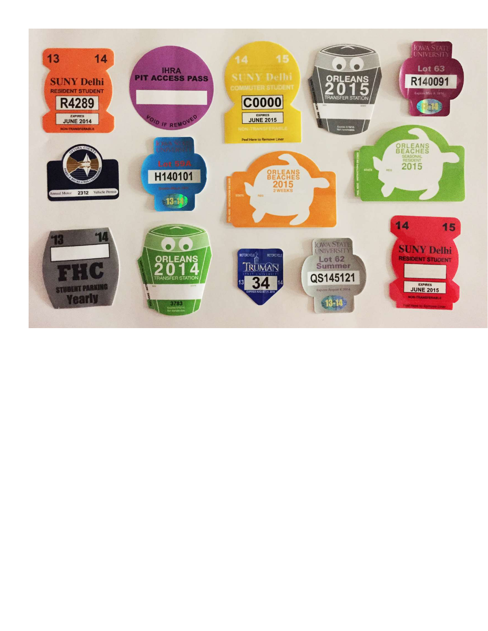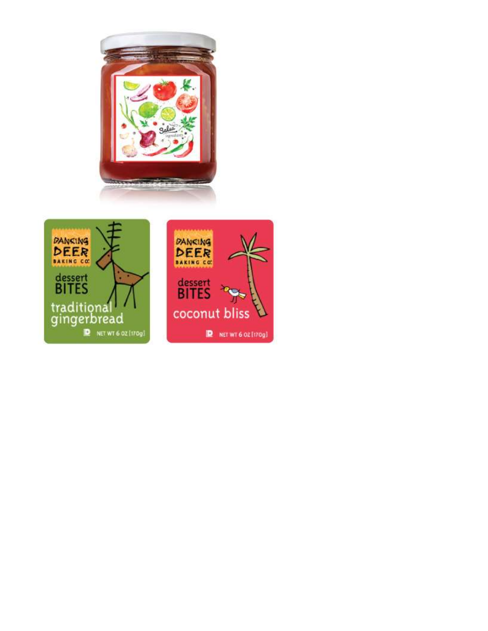

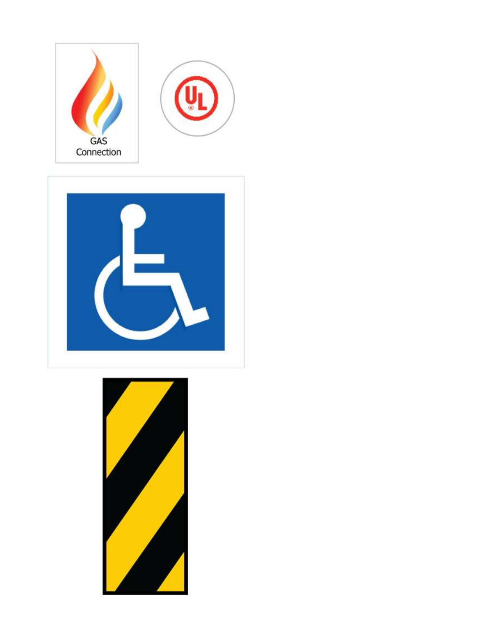